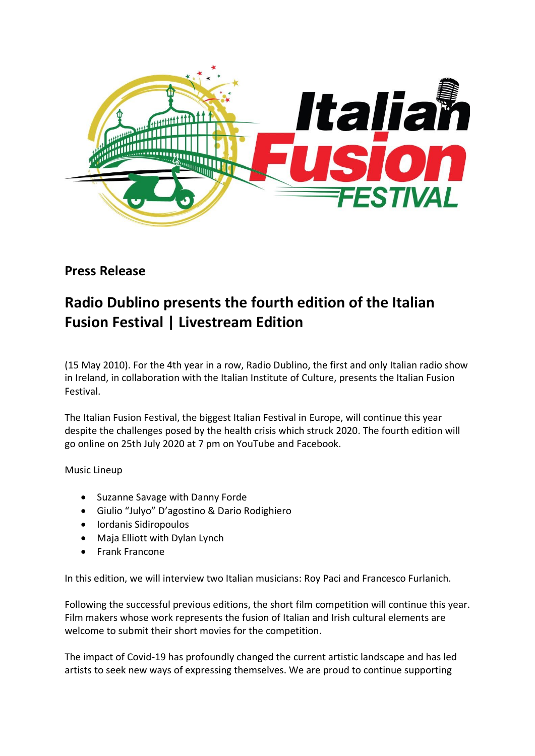

## **Press Release**

## **Radio Dublino presents the fourth edition of the Italian Fusion Festival | Livestream Edition**

(15 May 2010). For the 4th year in a row, Radio Dublino, the first and only Italian radio show in Ireland, in collaboration with the Italian Institute of Culture, presents the Italian Fusion Festival.

The Italian Fusion Festival, the biggest Italian Festival in Europe, will continue this year despite the challenges posed by the health crisis which struck 2020. The fourth edition will go online on 25th July 2020 at 7 pm on YouTube and Facebook.

Music Lineup

- Suzanne Savage with Danny Forde
- Giulio "Julyo" D'agostino & Dario Rodighiero
- Iordanis Sidiropoulos
- Maja Elliott with Dylan Lynch
- Frank Francone

In this edition, we will interview two Italian musicians: Roy Paci and Francesco Furlanich.

Following the successful previous editions, the short film competition will continue this year. Film makers whose work represents the fusion of Italian and Irish cultural elements are welcome to submit their short movies for the competition.

The impact of Covid-19 has profoundly changed the current artistic landscape and has led artists to seek new ways of expressing themselves. We are proud to continue supporting